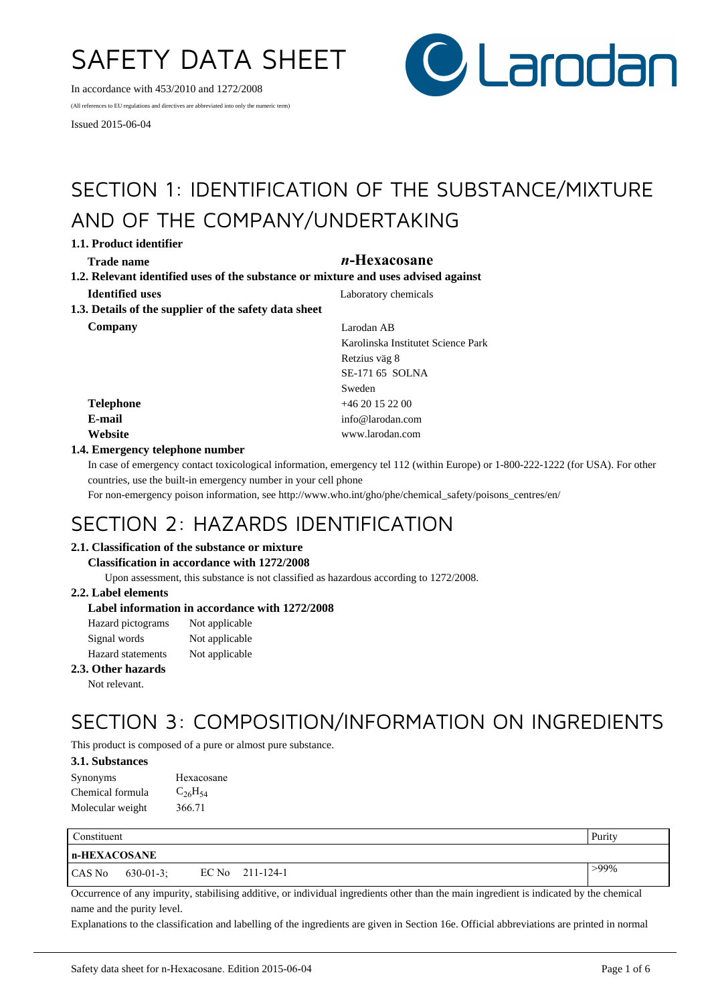# SAFETY DATA SHEET

In accordance with 453/2010 and 1272/2008

(All references to EU regulations and directives are abbreviated into only the numeric term)

Issued 2015-06-04



# SECTION 1: IDENTIFICATION OF THE SUBSTANCE/MIXTURE AND OF THE COMPANY/UNDERTAKING

**1.1. Product identifier**

## **Trade name** *n***-Hexacosane**

**1.2. Relevant identified uses of the substance or mixture and uses advised against Identified uses** Laboratory chemicals **1.3. Details of the supplier of the safety data sheet**

**Company** Larodan AB

Karolinska Institutet Science Park Retzius väg 8 SE-171 65 SOLNA Sweden **Telephone** +46 20 15 22 00 **E-mail** info@larodan.com **Website** www.larodan.com

## **1.4. Emergency telephone number**

In case of emergency contact toxicological information, emergency tel 112 (within Europe) or 1-800-222-1222 (for USA). For other countries, use the built-in emergency number in your cell phone

For non-emergency poison information, see http://www.who.int/gho/phe/chemical\_safety/poisons\_centres/en/

## SECTION 2: HAZARDS IDENTIFICATION

## **2.1. Classification of the substance or mixture**

#### **Classification in accordance with 1272/2008**

Upon assessment, this substance is not classified as hazardous according to 1272/2008.

## **2.2. Label elements**

## **Label information in accordance with 1272/2008**

| Hazard pictograms        | Not applicable |
|--------------------------|----------------|
| Signal words             | Not applicable |
| <b>Hazard</b> statements | Not applicable |

## **2.3. Other hazards**

Not relevant.

# SECTION 3: COMPOSITION/INFORMATION ON INGREDIENTS

This product is composed of a pure or almost pure substance.

## **3.1. Substances**

| Synonyms         | Hexacosane     |
|------------------|----------------|
| Chemical formula | $C_{26}H_{54}$ |
| Molecular weight | 366.71         |

| <b>Constituent</b> |                  |  |                   | Purity  |  |
|--------------------|------------------|--|-------------------|---------|--|
| n-HEXACOSANE       |                  |  |                   |         |  |
| CAS No             | $630 - 01 - 3$ ; |  | EC No $211-124-1$ | $>99\%$ |  |

Occurrence of any impurity, stabilising additive, or individual ingredients other than the main ingredient is indicated by the chemical name and the purity level.

Explanations to the classification and labelling of the ingredients are given in Section 16e. Official abbreviations are printed in normal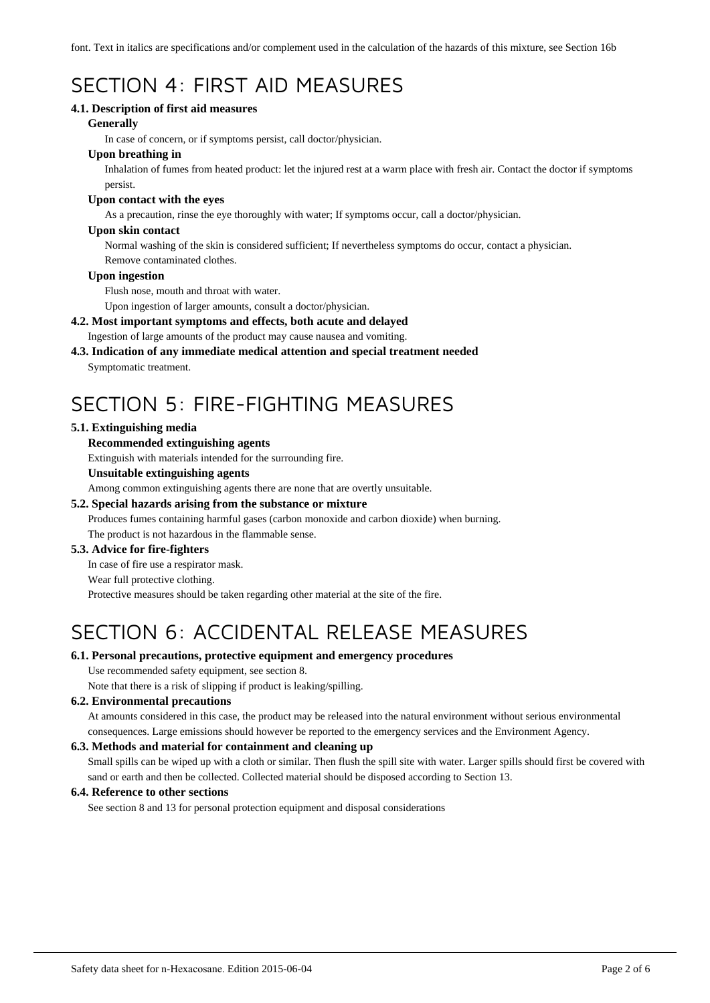font. Text in italics are specifications and/or complement used in the calculation of the hazards of this mixture, see Section 16b

# SECTION 4: FIRST AID MEASURES

## **4.1. Description of first aid measures**

## **Generally**

In case of concern, or if symptoms persist, call doctor/physician.

## **Upon breathing in**

Inhalation of fumes from heated product: let the injured rest at a warm place with fresh air. Contact the doctor if symptoms persist.

## **Upon contact with the eyes**

As a precaution, rinse the eye thoroughly with water; If symptoms occur, call a doctor/physician.

## **Upon skin contact**

Normal washing of the skin is considered sufficient; If nevertheless symptoms do occur, contact a physician. Remove contaminated clothes.

## **Upon ingestion**

Flush nose, mouth and throat with water.

Upon ingestion of larger amounts, consult a doctor/physician.

## **4.2. Most important symptoms and effects, both acute and delayed**

Ingestion of large amounts of the product may cause nausea and vomiting.

# **4.3. Indication of any immediate medical attention and special treatment needed**

Symptomatic treatment.

# SECTION 5: FIRE-FIGHTING MEASURES

## **5.1. Extinguishing media**

## **Recommended extinguishing agents**

Extinguish with materials intended for the surrounding fire.

## **Unsuitable extinguishing agents**

Among common extinguishing agents there are none that are overtly unsuitable.

## **5.2. Special hazards arising from the substance or mixture**

Produces fumes containing harmful gases (carbon monoxide and carbon dioxide) when burning. The product is not hazardous in the flammable sense.

## **5.3. Advice for fire-fighters**

In case of fire use a respirator mask.

#### Wear full protective clothing.

Protective measures should be taken regarding other material at the site of the fire.

# SECTION 6: ACCIDENTAL RELEASE MEASURES

## **6.1. Personal precautions, protective equipment and emergency procedures**

Use recommended safety equipment, see section 8.

Note that there is a risk of slipping if product is leaking/spilling.

## **6.2. Environmental precautions**

At amounts considered in this case, the product may be released into the natural environment without serious environmental consequences. Large emissions should however be reported to the emergency services and the Environment Agency.

## **6.3. Methods and material for containment and cleaning up**

Small spills can be wiped up with a cloth or similar. Then flush the spill site with water. Larger spills should first be covered with sand or earth and then be collected. Collected material should be disposed according to Section 13.

## **6.4. Reference to other sections**

See section 8 and 13 for personal protection equipment and disposal considerations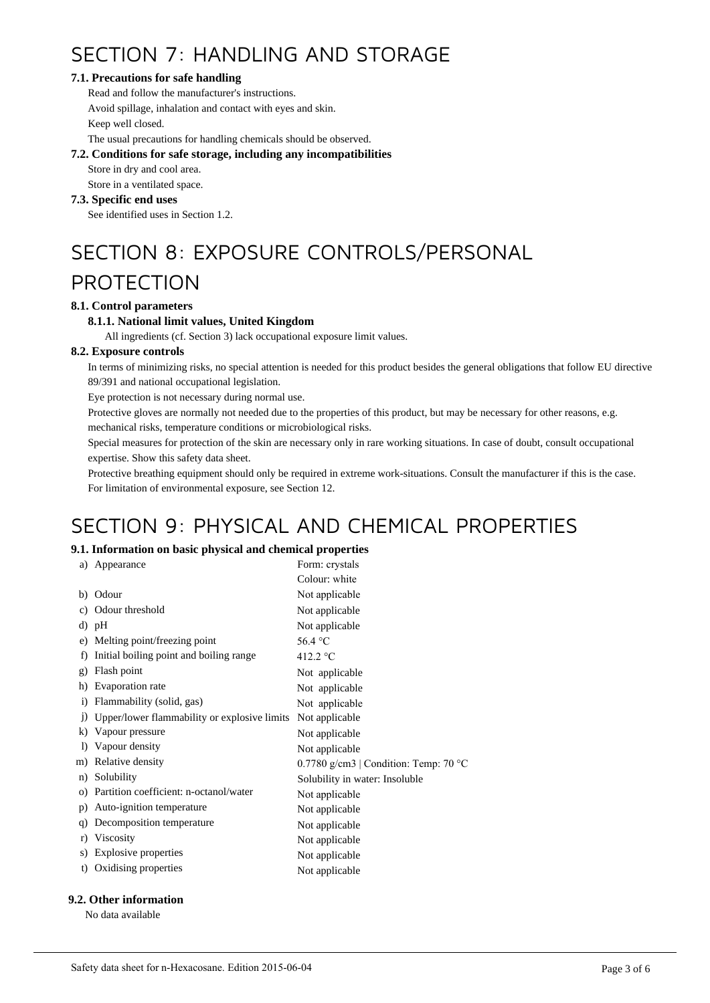# SECTION 7: HANDLING AND STORAGE

## **7.1. Precautions for safe handling**

Read and follow the manufacturer's instructions. Avoid spillage, inhalation and contact with eyes and skin. Keep well closed.

The usual precautions for handling chemicals should be observed.

## **7.2. Conditions for safe storage, including any incompatibilities**

Store in dry and cool area.

Store in a ventilated space.

## **7.3. Specific end uses**

See identified uses in Section 1.2.

# SECTION 8: EXPOSURE CONTROLS/PERSONAL

## PROTECTION

## **8.1. Control parameters**

## **8.1.1. National limit values, United Kingdom**

All ingredients (cf. Section 3) lack occupational exposure limit values.

## **8.2. Exposure controls**

In terms of minimizing risks, no special attention is needed for this product besides the general obligations that follow EU directive 89/391 and national occupational legislation.

Eye protection is not necessary during normal use.

Protective gloves are normally not needed due to the properties of this product, but may be necessary for other reasons, e.g.

mechanical risks, temperature conditions or microbiological risks.

Special measures for protection of the skin are necessary only in rare working situations. In case of doubt, consult occupational expertise. Show this safety data sheet.

Protective breathing equipment should only be required in extreme work-situations. Consult the manufacturer if this is the case. For limitation of environmental exposure, see Section 12.

# SECTION 9: PHYSICAL AND CHEMICAL PROPERTIES

## **9.1. Information on basic physical and chemical properties**

| a)           | Appearance                                   | Form: crystals                        |
|--------------|----------------------------------------------|---------------------------------------|
|              |                                              |                                       |
|              |                                              | Colour: white                         |
| b)           | Odour                                        | Not applicable                        |
| C)           | Odour threshold                              | Not applicable                        |
|              | d) pH                                        | Not applicable                        |
| e)           | Melting point/freezing point                 | 56.4 $^{\circ}$ C                     |
| f)           | Initial boiling point and boiling range      | 412.2 $\degree$ C                     |
| g)           | Flash point                                  | Not applicable                        |
| h)           | Evaporation rate                             | Not applicable                        |
| $\mathbf{i}$ | Flammability (solid, gas)                    | Not applicable                        |
| $_{1}$       | Upper/lower flammability or explosive limits | Not applicable                        |
| k)           | Vapour pressure                              | Not applicable                        |
| $\bf{D}$     | Vapour density                               | Not applicable                        |
|              | m) Relative density                          | 0.7780 g/cm3   Condition: Temp: 70 °C |
| n)           | Solubility                                   | Solubility in water: Insoluble        |
| $_{\rm O}$ ) | Partition coefficient: n-octanol/water       | Not applicable                        |
| p)           | Auto-ignition temperature                    | Not applicable                        |
| q)           | Decomposition temperature                    | Not applicable                        |
| r)           | Viscosity                                    | Not applicable                        |
| S)           | Explosive properties                         | Not applicable                        |
| t)           | Oxidising properties                         | Not applicable                        |
|              |                                              |                                       |

## **9.2. Other information**

No data available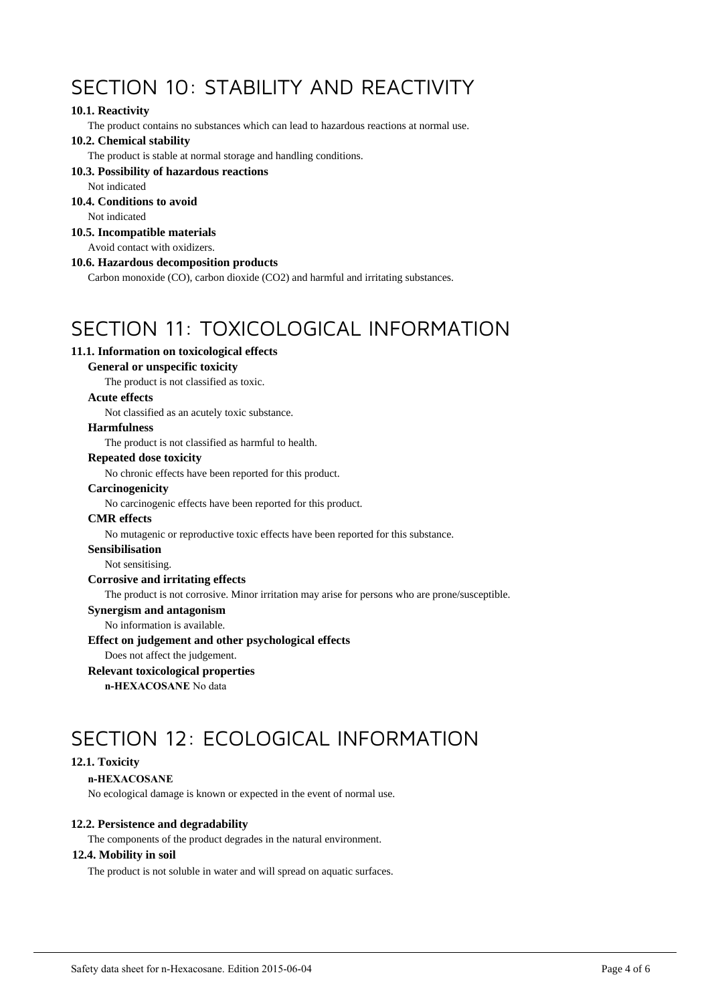# SECTION 10: STABILITY AND REACTIVITY

## **10.1. Reactivity**

The product contains no substances which can lead to hazardous reactions at normal use.

#### **10.2. Chemical stability**

The product is stable at normal storage and handling conditions.

## **10.3. Possibility of hazardous reactions**

Not indicated

## **10.4. Conditions to avoid**

Not indicated

## **10.5. Incompatible materials**

Avoid contact with oxidizers.

#### **10.6. Hazardous decomposition products**

Carbon monoxide (CO), carbon dioxide (CO2) and harmful and irritating substances.

# SECTION 11: TOXICOLOGICAL INFORMATION

## **11.1. Information on toxicological effects**

## **General or unspecific toxicity**

The product is not classified as toxic.

## **Acute effects**

Not classified as an acutely toxic substance.

#### **Harmfulness**

The product is not classified as harmful to health.

## **Repeated dose toxicity**

No chronic effects have been reported for this product.

#### **Carcinogenicity**

No carcinogenic effects have been reported for this product.

#### **CMR effects**

No mutagenic or reproductive toxic effects have been reported for this substance.

#### **Sensibilisation**

Not sensitising.

## **Corrosive and irritating effects**

The product is not corrosive. Minor irritation may arise for persons who are prone/susceptible.

#### **Synergism and antagonism**

No information is available.

#### **Effect on judgement and other psychological effects**

Does not affect the judgement.

## **Relevant toxicological properties**

**n-HEXACOSANE** No data

# SECTION 12: ECOLOGICAL INFORMATION

## **12.1. Toxicity**

#### **n-HEXACOSANE**

No ecological damage is known or expected in the event of normal use.

## **12.2. Persistence and degradability**

The components of the product degrades in the natural environment.

#### **12.4. Mobility in soil**

The product is not soluble in water and will spread on aquatic surfaces.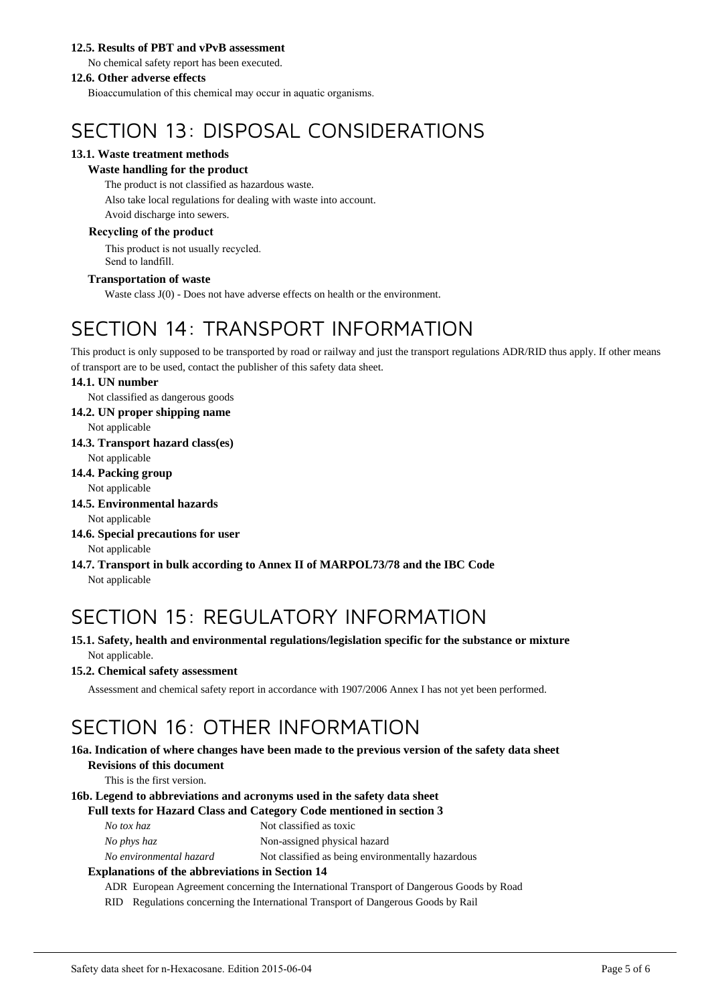## **12.5. Results of PBT and vPvB assessment**

No chemical safety report has been executed.

## **12.6. Other adverse effects**

Bioaccumulation of this chemical may occur in aquatic organisms.

# SECTION 13: DISPOSAL CONSIDERATIONS

## **13.1. Waste treatment methods**

## **Waste handling for the product**

The product is not classified as hazardous waste.

Also take local regulations for dealing with waste into account. Avoid discharge into sewers.

## **Recycling of the product**

This product is not usually recycled. Send to landfill.

## **Transportation of waste**

Waste class J(0) - Does not have adverse effects on health or the environment.

# SECTION 14: TRANSPORT INFORMATION

This product is only supposed to be transported by road or railway and just the transport regulations ADR/RID thus apply. If other means of transport are to be used, contact the publisher of this safety data sheet.

## **14.1. UN number**

Not classified as dangerous goods

**14.2. UN proper shipping name**

Not applicable

**14.3. Transport hazard class(es)**

Not applicable

**14.4. Packing group**

Not applicable

**14.5. Environmental hazards**

```
Not applicable
```
- **14.6. Special precautions for user** Not applicable
- **14.7. Transport in bulk according to Annex II of MARPOL73/78 and the IBC Code** Not applicable

# SECTION 15: REGULATORY INFORMATION

**15.1. Safety, health and environmental regulations/legislation specific for the substance or mixture** Not applicable.

## **15.2. Chemical safety assessment**

Assessment and chemical safety report in accordance with 1907/2006 Annex I has not yet been performed.

# SECTION 16: OTHER INFORMATION

#### **16a. Indication of where changes have been made to the previous version of the safety data sheet Revisions of this document**

This is the first version.

## **16b. Legend to abbreviations and acronyms used in the safety data sheet**

#### **Full texts for Hazard Class and Category Code mentioned in section 3**

*No phys haz* Non-assigned physical hazard

*No environmental hazard* Not classified as being environmentally hazardous

## **Explanations of the abbreviations in Section 14**

ADR European Agreement concerning the International Transport of Dangerous Goods by Road

RID Regulations concerning the International Transport of Dangerous Goods by Rail